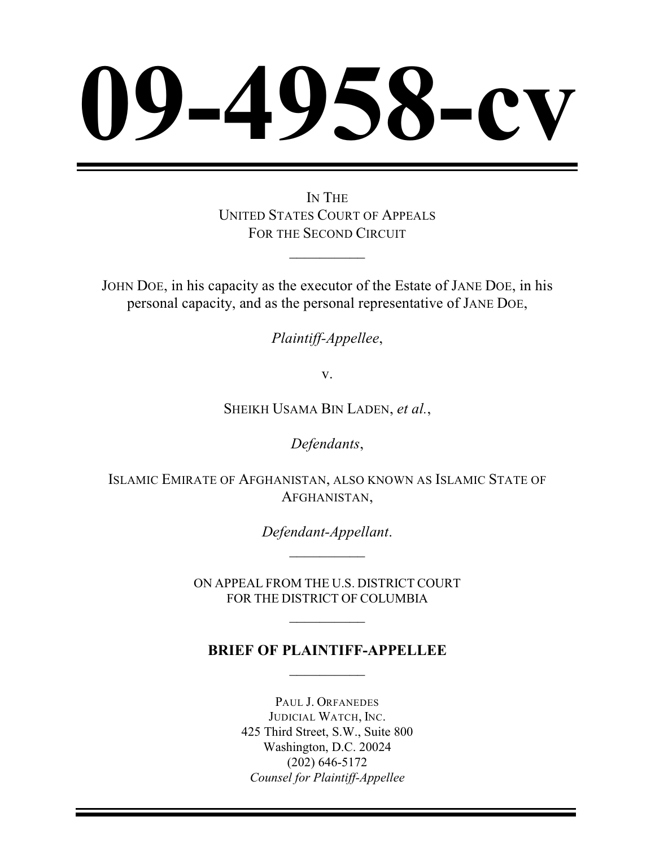# **958-c**

IN THE UNITED STATES COURT OF APPEALS FOR THE SECOND CIRCUIT

 $\frac{1}{2}$ 

JOHN DOE, in his capacity as the executor of the Estate of JANE DOE, in his personal capacity, and as the personal representative of JANE DOE,

*Plaintiff-Appellee*,

v.

SHEIKH USAMA BIN LADEN, *et al.*,

*Defendants*,

ISLAMIC EMIRATE OF AFGHANISTAN, ALSO KNOWN AS ISLAMIC STATE OF AFGHANISTAN,

> *Defendant-Appellant*.  $\frac{1}{2}$

ON APPEAL FROM THE U.S. DISTRICT COURT FOR THE DISTRICT OF COLUMBIA

 $\overline{\phantom{a}}$ 

# **BRIEF OF PLAINTIFF-APPELLEE**  $\frac{1}{2}$

PAUL J. ORFANEDES JUDICIAL WATCH, INC. 425 Third Street, S.W., Suite 800 Washington, D.C. 20024 (202) 646-5172 *Counsel for Plaintiff-Appellee*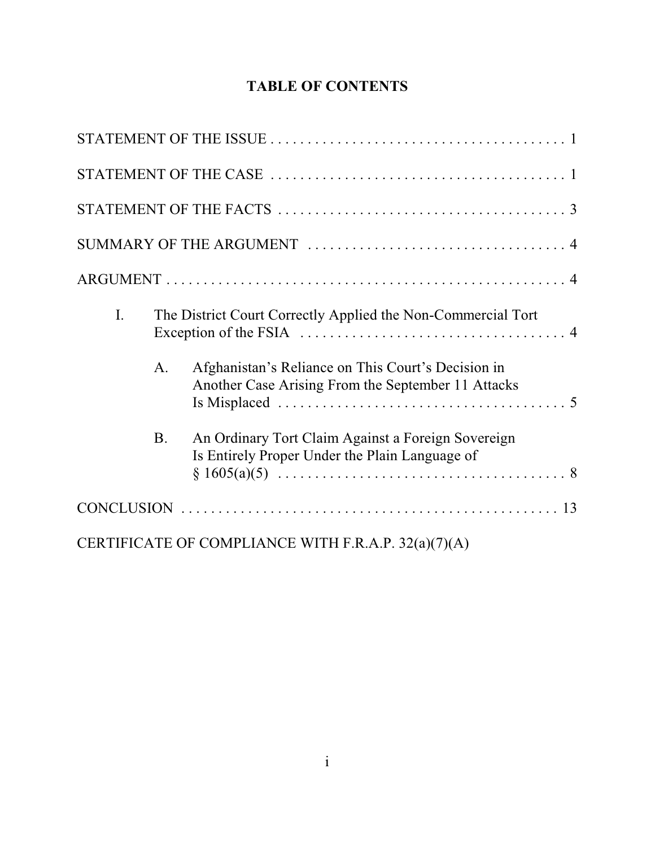# **TABLE OF CONTENTS**

| I. |           | The District Court Correctly Applied the Non-Commercial Tort                                             |  |
|----|-----------|----------------------------------------------------------------------------------------------------------|--|
|    | A.        | Afghanistan's Reliance on This Court's Decision in<br>Another Case Arising From the September 11 Attacks |  |
|    | <b>B.</b> | An Ordinary Tort Claim Against a Foreign Sovereign<br>Is Entirely Proper Under the Plain Language of     |  |
|    |           |                                                                                                          |  |
|    |           | CERTIFICATE OF COMPLIANCE WITH F.R.A.P. 32(a)(7)(A)                                                      |  |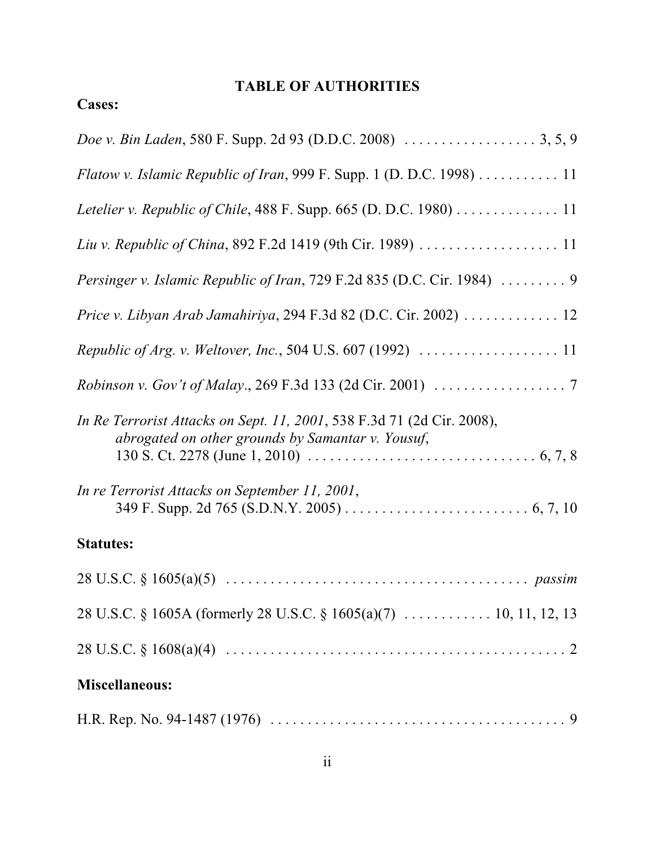# **TABLE OF AUTHORITIES**

# **Cases:**

| Flatow v. Islamic Republic of Iran, 999 F. Supp. 1 (D. D.C. 1998) $\dots \dots \dots 11$                                    |
|-----------------------------------------------------------------------------------------------------------------------------|
|                                                                                                                             |
|                                                                                                                             |
| Persinger v. Islamic Republic of Iran, 729 F.2d 835 (D.C. Cir. 1984)  9                                                     |
| Price v. Libyan Arab Jamahiriya, 294 F.3d 82 (D.C. Cir. 2002) 12                                                            |
|                                                                                                                             |
|                                                                                                                             |
| In Re Terrorist Attacks on Sept. 11, 2001, 538 F.3d 71 (2d Cir. 2008),<br>abrogated on other grounds by Samantar v. Yousuf, |
| In re Terrorist Attacks on September 11, 2001,                                                                              |
| <b>Statutes:</b>                                                                                                            |
|                                                                                                                             |
|                                                                                                                             |
|                                                                                                                             |
| <b>Miscellaneous:</b>                                                                                                       |
|                                                                                                                             |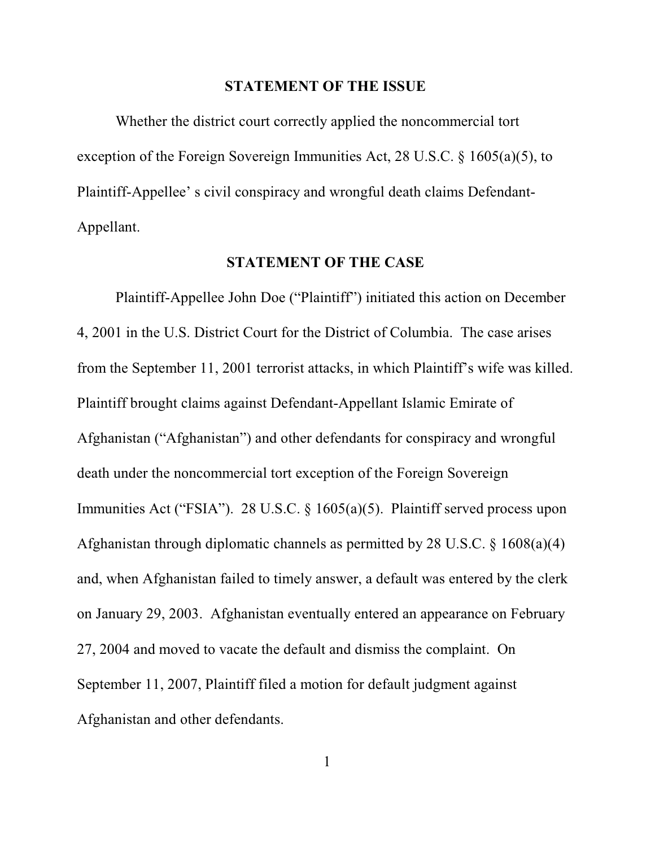#### **STATEMENT OF THE ISSUE**

Whether the district court correctly applied the noncommercial tort exception of the Foreign Sovereign Immunities Act, 28 U.S.C. § 1605(a)(5), to Plaintiff-Appellee' s civil conspiracy and wrongful death claims Defendant-Appellant.

#### **STATEMENT OF THE CASE**

Plaintiff-Appellee John Doe ("Plaintiff") initiated this action on December 4, 2001 in the U.S. District Court for the District of Columbia. The case arises from the September 11, 2001 terrorist attacks, in which Plaintiff's wife was killed. Plaintiff brought claims against Defendant-Appellant Islamic Emirate of Afghanistan ("Afghanistan") and other defendants for conspiracy and wrongful death under the noncommercial tort exception of the Foreign Sovereign Immunities Act ("FSIA"). 28 U.S.C. § 1605(a)(5). Plaintiff served process upon Afghanistan through diplomatic channels as permitted by 28 U.S.C. § 1608(a)(4) and, when Afghanistan failed to timely answer, a default was entered by the clerk on January 29, 2003. Afghanistan eventually entered an appearance on February 27, 2004 and moved to vacate the default and dismiss the complaint. On September 11, 2007, Plaintiff filed a motion for default judgment against Afghanistan and other defendants.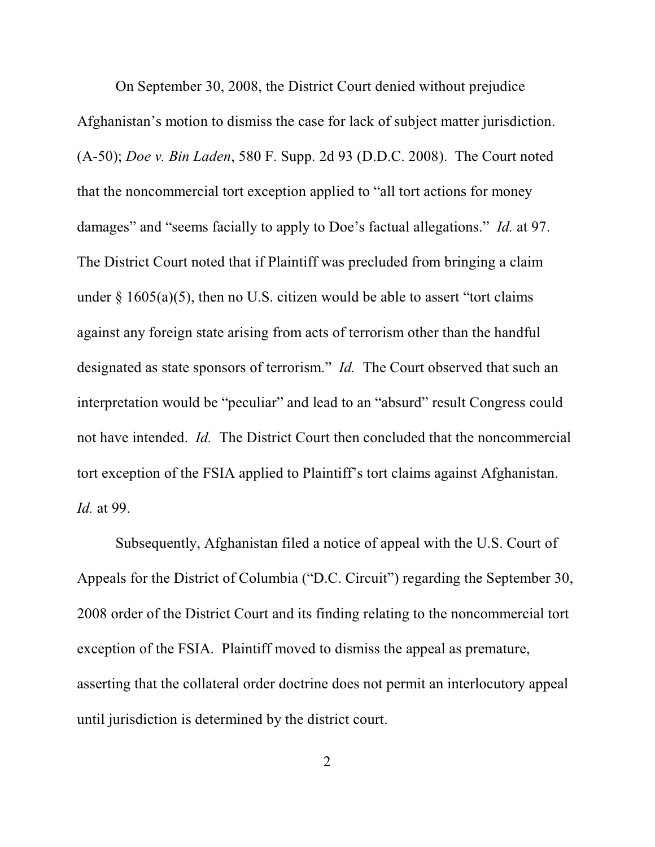On September 30, 2008, the District Court denied without prejudice Afghanistan's motion to dismiss the case for lack of subject matter jurisdiction. (A-50); *Doe v. Bin Laden*, 580 F. Supp. 2d 93 (D.D.C. 2008). The Court noted that the noncommercial tort exception applied to "all tort actions for money damages" and "seems facially to apply to Doe's factual allegations." *Id.* at 97. The District Court noted that if Plaintiff was precluded from bringing a claim under  $\S$  1605(a)(5), then no U.S. citizen would be able to assert "tort claims against any foreign state arising from acts of terrorism other than the handful designated as state sponsors of terrorism." *Id.* The Court observed that such an interpretation would be "peculiar" and lead to an "absurd" result Congress could not have intended. *Id.* The District Court then concluded that the noncommercial tort exception of the FSIA applied to Plaintiff's tort claims against Afghanistan. *Id.* at 99.

Subsequently, Afghanistan filed a notice of appeal with the U.S. Court of Appeals for the District of Columbia ("D.C. Circuit") regarding the September 30, 2008 order of the District Court and its finding relating to the noncommercial tort exception of the FSIA. Plaintiff moved to dismiss the appeal as premature, asserting that the collateral order doctrine does not permit an interlocutory appeal until jurisdiction is determined by the district court.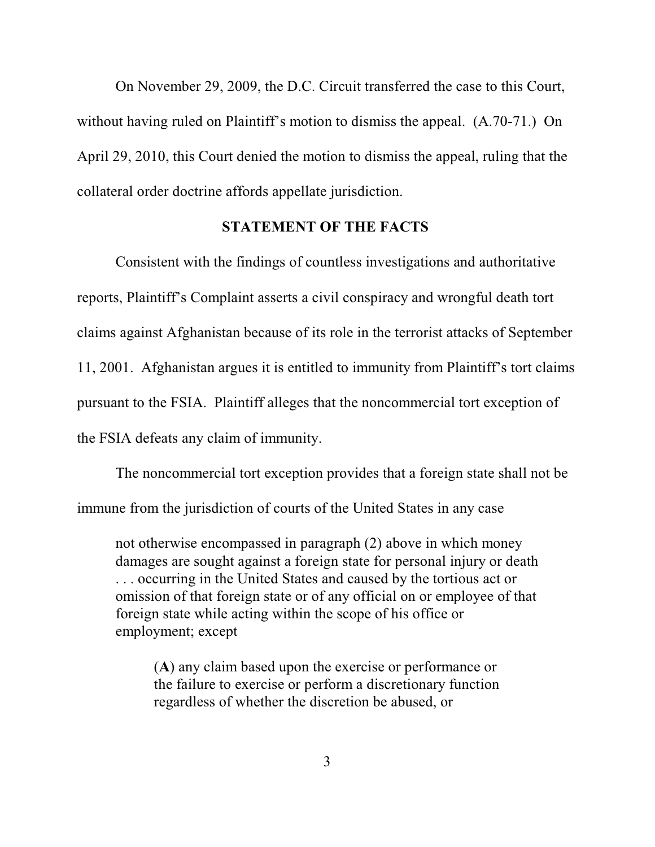On November 29, 2009, the D.C. Circuit transferred the case to this Court, without having ruled on Plaintiff's motion to dismiss the appeal. (A.70-71.) On April 29, 2010, this Court denied the motion to dismiss the appeal, ruling that the collateral order doctrine affords appellate jurisdiction.

#### **STATEMENT OF THE FACTS**

Consistent with the findings of countless investigations and authoritative reports, Plaintiff's Complaint asserts a civil conspiracy and wrongful death tort claims against Afghanistan because of its role in the terrorist attacks of September 11, 2001. Afghanistan argues it is entitled to immunity from Plaintiff's tort claims pursuant to the FSIA. Plaintiff alleges that the noncommercial tort exception of the FSIA defeats any claim of immunity.

The noncommercial tort exception provides that a foreign state shall not be immune from the jurisdiction of courts of the United States in any case

not otherwise encompassed in paragraph (2) above in which money damages are sought against a foreign state for personal injury or death . . . occurring in the United States and caused by the tortious act or omission of that foreign state or of any official on or employee of that foreign state while acting within the scope of his office or employment; except

(**A**) any claim based upon the exercise or performance or the failure to exercise or perform a discretionary function regardless of whether the discretion be abused, or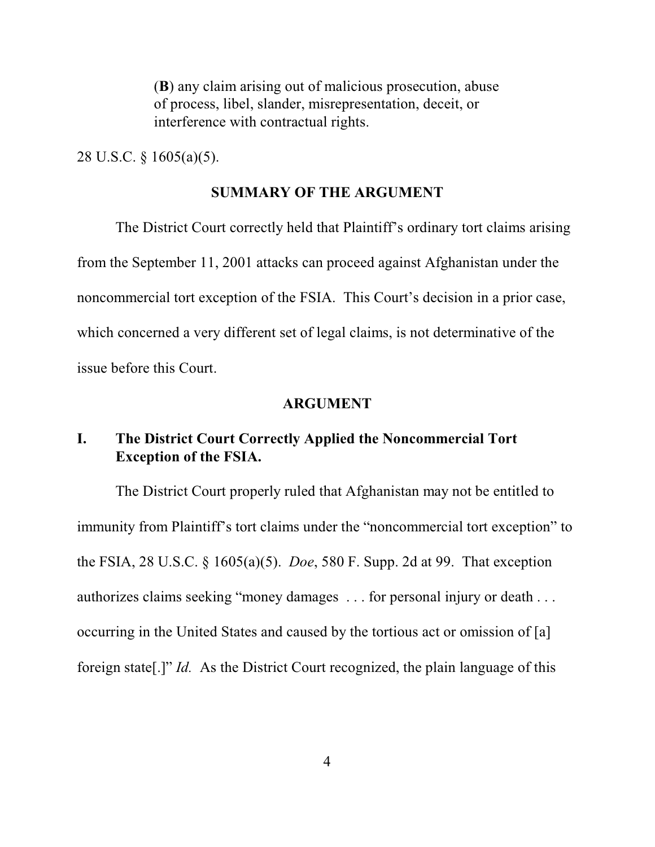(**B**) any claim arising out of malicious prosecution, abuse of process, libel, slander, misrepresentation, deceit, or interference with contractual rights.

28 U.S.C. § 1605(a)(5).

#### **SUMMARY OF THE ARGUMENT**

The District Court correctly held that Plaintiff's ordinary tort claims arising from the September 11, 2001 attacks can proceed against Afghanistan under the noncommercial tort exception of the FSIA. This Court's decision in a prior case, which concerned a very different set of legal claims, is not determinative of the issue before this Court.

#### **ARGUMENT**

# **I. The District Court Correctly Applied the Noncommercial Tort Exception of the FSIA.**

The District Court properly ruled that Afghanistan may not be entitled to immunity from Plaintiff's tort claims under the "noncommercial tort exception" to the FSIA, 28 U.S.C. § 1605(a)(5). *Doe*, 580 F. Supp. 2d at 99. That exception authorizes claims seeking "money damages . . . for personal injury or death . . . occurring in the United States and caused by the tortious act or omission of [a] foreign state[.]" *Id.* As the District Court recognized, the plain language of this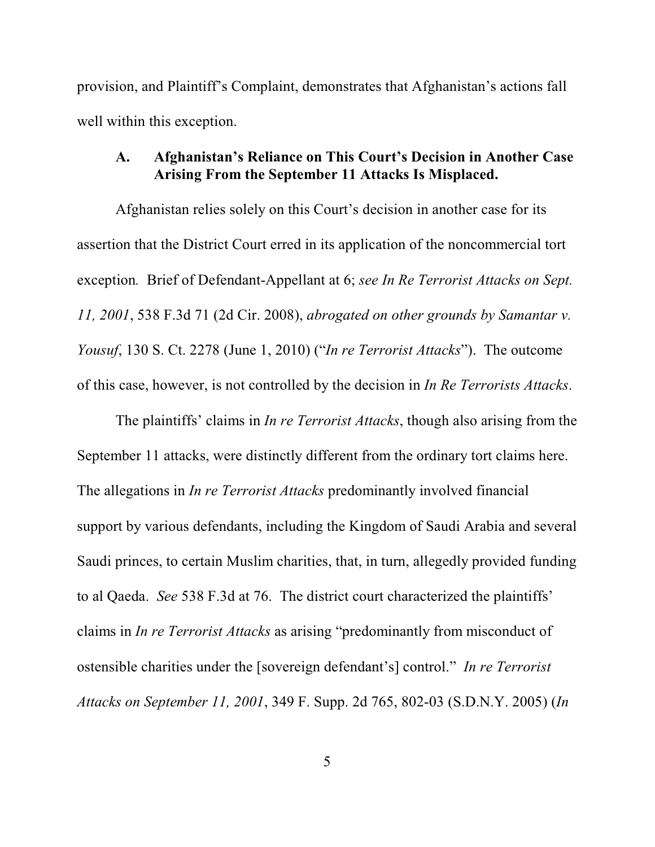provision, and Plaintiff's Complaint, demonstrates that Afghanistan's actions fall well within this exception.

### **A. Afghanistan's Reliance on This Court's Decision in Another Case Arising From the September 11 Attacks Is Misplaced.**

Afghanistan relies solely on this Court's decision in another case for its assertion that the District Court erred in its application of the noncommercial tort exception*.* Brief of Defendant-Appellant at 6; *see In Re Terrorist Attacks on Sept. 11, 2001*, 538 F.3d 71 (2d Cir. 2008), *abrogated on other grounds by Samantar v. Yousuf*, 130 S. Ct. 2278 (June 1, 2010) ("*In re Terrorist Attacks*"). The outcome of this case, however, is not controlled by the decision in *In Re Terrorists Attacks*.

The plaintiffs' claims in *In re Terrorist Attacks*, though also arising from the September 11 attacks, were distinctly different from the ordinary tort claims here. The allegations in *In re Terrorist Attacks* predominantly involved financial support by various defendants, including the Kingdom of Saudi Arabia and several Saudi princes, to certain Muslim charities, that, in turn, allegedly provided funding to al Qaeda. *See* 538 F.3d at 76. The district court characterized the plaintiffs' claims in *In re Terrorist Attacks* as arising "predominantly from misconduct of ostensible charities under the [sovereign defendant's] control." *In re Terrorist Attacks on September 11, 2001*, 349 F. Supp. 2d 765, 802-03 (S.D.N.Y. 2005) (*In*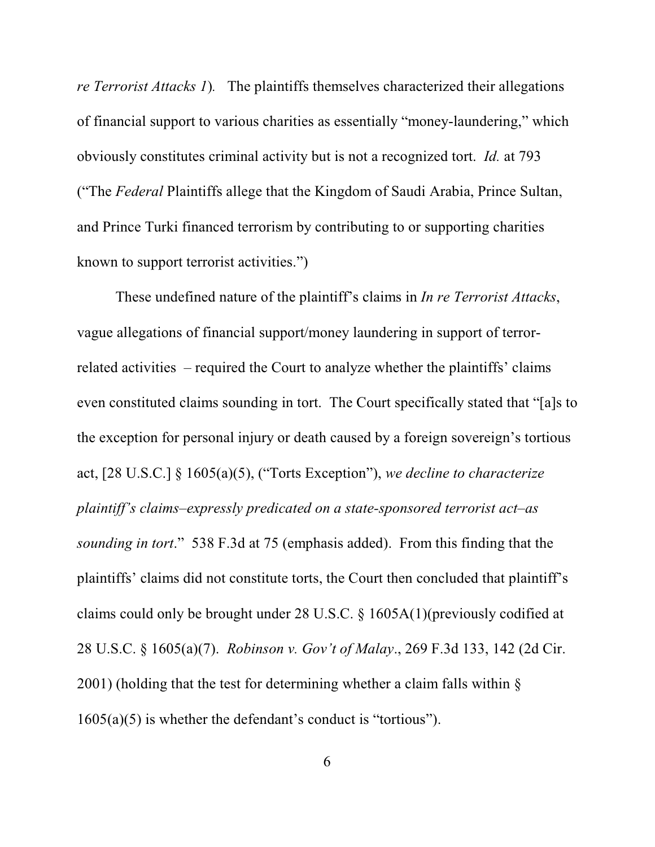*re Terrorist Attacks 1*)*.* The plaintiffs themselves characterized their allegations of financial support to various charities as essentially "money-laundering," which obviously constitutes criminal activity but is not a recognized tort. *Id.* at 793 ("The *Federal* Plaintiffs allege that the Kingdom of Saudi Arabia, Prince Sultan, and Prince Turki financed terrorism by contributing to or supporting charities known to support terrorist activities.")

These undefined nature of the plaintiff's claims in *In re Terrorist Attacks*, vague allegations of financial support/money laundering in support of terrorrelated activities – required the Court to analyze whether the plaintiffs' claims even constituted claims sounding in tort. The Court specifically stated that "[a]s to the exception for personal injury or death caused by a foreign sovereign's tortious act, [28 U.S.C.] § 1605(a)(5), ("Torts Exception"), *we decline to characterize plaintiff's claims–expressly predicated on a state-sponsored terrorist act–as sounding in tort*." 538 F.3d at 75 (emphasis added). From this finding that the plaintiffs' claims did not constitute torts, the Court then concluded that plaintiff's claims could only be brought under 28 U.S.C. § 1605A(1)(previously codified at 28 U.S.C. § 1605(a)(7). *Robinson v. Gov't of Malay*., 269 F.3d 133, 142 (2d Cir. 2001) (holding that the test for determining whether a claim falls within § 1605(a)(5) is whether the defendant's conduct is "tortious").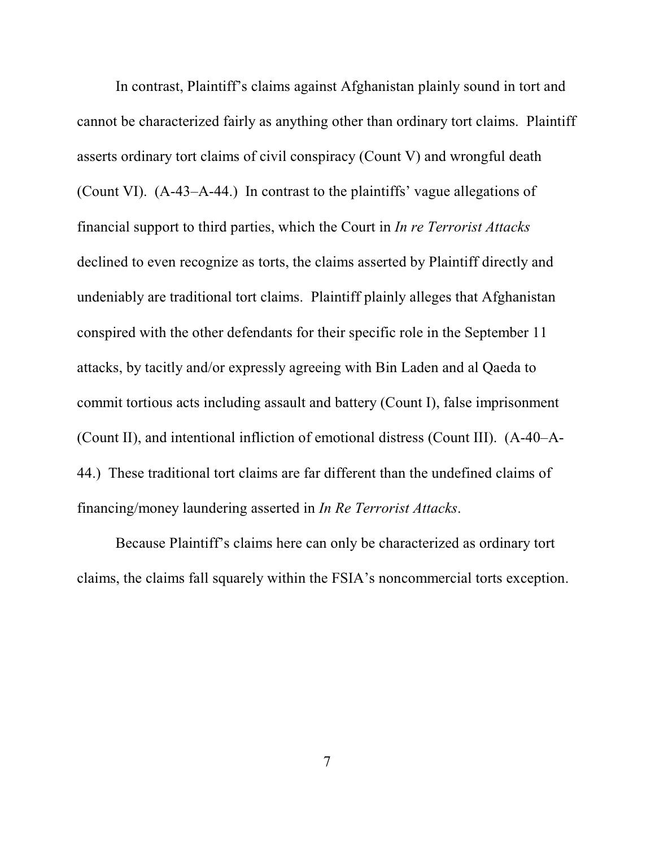In contrast, Plaintiff's claims against Afghanistan plainly sound in tort and cannot be characterized fairly as anything other than ordinary tort claims. Plaintiff asserts ordinary tort claims of civil conspiracy (Count V) and wrongful death (Count VI). (A-43–A-44.) In contrast to the plaintiffs' vague allegations of financial support to third parties, which the Court in *In re Terrorist Attacks* declined to even recognize as torts, the claims asserted by Plaintiff directly and undeniably are traditional tort claims. Plaintiff plainly alleges that Afghanistan conspired with the other defendants for their specific role in the September 11 attacks, by tacitly and/or expressly agreeing with Bin Laden and al Qaeda to commit tortious acts including assault and battery (Count I), false imprisonment (Count II), and intentional infliction of emotional distress (Count III). (A-40–A-44.) These traditional tort claims are far different than the undefined claims of financing/money laundering asserted in *In Re Terrorist Attacks*.

Because Plaintiff's claims here can only be characterized as ordinary tort claims, the claims fall squarely within the FSIA's noncommercial torts exception.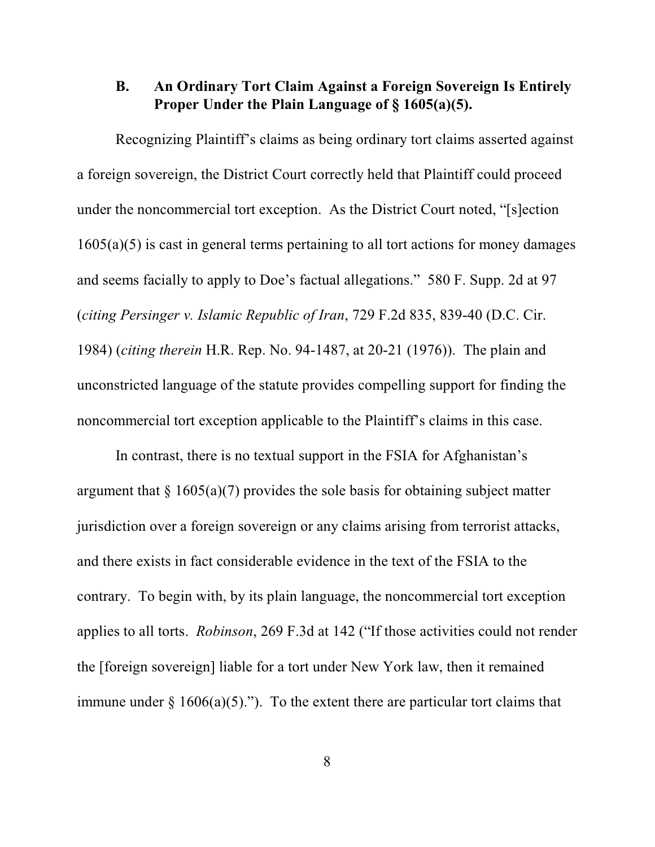# **B. An Ordinary Tort Claim Against a Foreign Sovereign Is Entirely Proper Under the Plain Language of § 1605(a)(5).**

Recognizing Plaintiff's claims as being ordinary tort claims asserted against a foreign sovereign, the District Court correctly held that Plaintiff could proceed under the noncommercial tort exception. As the District Court noted, "[s]ection 1605(a)(5) is cast in general terms pertaining to all tort actions for money damages and seems facially to apply to Doe's factual allegations." 580 F. Supp. 2d at 97 (*citing Persinger v. Islamic Republic of Iran*, 729 F.2d 835, 839-40 (D.C. Cir. 1984) (*citing therein* H.R. Rep. No. 94-1487, at 20-21 (1976)). The plain and unconstricted language of the statute provides compelling support for finding the noncommercial tort exception applicable to the Plaintiff's claims in this case.

In contrast, there is no textual support in the FSIA for Afghanistan's argument that  $\S$  1605(a)(7) provides the sole basis for obtaining subject matter jurisdiction over a foreign sovereign or any claims arising from terrorist attacks, and there exists in fact considerable evidence in the text of the FSIA to the contrary. To begin with, by its plain language, the noncommercial tort exception applies to all torts. *Robinson*, 269 F.3d at 142 ("If those activities could not render the [foreign sovereign] liable for a tort under New York law, then it remained immune under  $\S$  1606(a)(5)."). To the extent there are particular tort claims that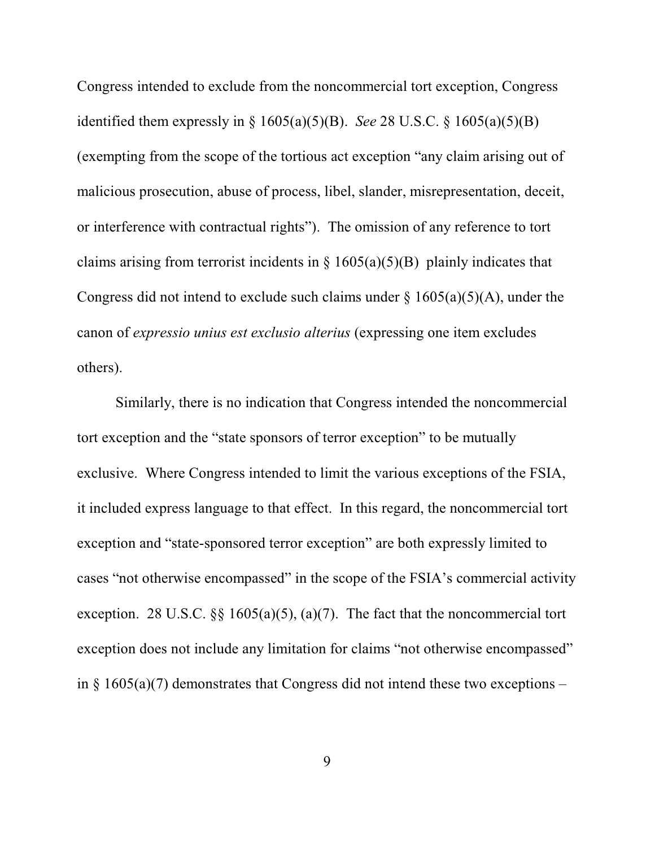Congress intended to exclude from the noncommercial tort exception, Congress identified them expressly in § 1605(a)(5)(B). *See* 28 U.S.C. § 1605(a)(5)(B) (exempting from the scope of the tortious act exception "any claim arising out of malicious prosecution, abuse of process, libel, slander, misrepresentation, deceit, or interference with contractual rights"). The omission of any reference to tort claims arising from terrorist incidents in  $\S$  1605(a)(5)(B) plainly indicates that Congress did not intend to exclude such claims under  $\S$  1605(a)(5)(A), under the canon of *expressio unius est exclusio alterius* (expressing one item excludes others).

Similarly, there is no indication that Congress intended the noncommercial tort exception and the "state sponsors of terror exception" to be mutually exclusive. Where Congress intended to limit the various exceptions of the FSIA, it included express language to that effect. In this regard, the noncommercial tort exception and "state-sponsored terror exception" are both expressly limited to cases "not otherwise encompassed" in the scope of the FSIA's commercial activity exception. 28 U.S.C.  $\S$ § 1605(a)(5), (a)(7). The fact that the noncommercial tort exception does not include any limitation for claims "not otherwise encompassed" in § 1605(a)(7) demonstrates that Congress did not intend these two exceptions –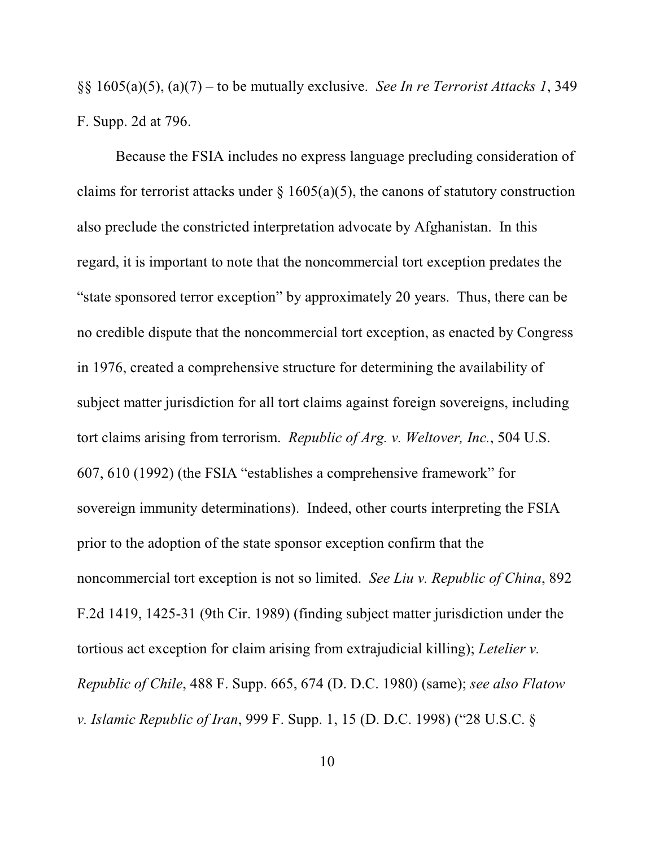§§ 1605(a)(5), (a)(7) – to be mutually exclusive. *See In re Terrorist Attacks 1*, 349 F. Supp. 2d at 796.

Because the FSIA includes no express language precluding consideration of claims for terrorist attacks under  $\S$  1605(a)(5), the canons of statutory construction also preclude the constricted interpretation advocate by Afghanistan. In this regard, it is important to note that the noncommercial tort exception predates the "state sponsored terror exception" by approximately 20 years. Thus, there can be no credible dispute that the noncommercial tort exception, as enacted by Congress in 1976, created a comprehensive structure for determining the availability of subject matter jurisdiction for all tort claims against foreign sovereigns, including tort claims arising from terrorism. *Republic of Arg. v. Weltover, Inc.*, 504 U.S. 607, 610 (1992) (the FSIA "establishes a comprehensive framework" for sovereign immunity determinations). Indeed, other courts interpreting the FSIA prior to the adoption of the state sponsor exception confirm that the noncommercial tort exception is not so limited. *See Liu v. Republic of China*, 892 F.2d 1419, 1425-31 (9th Cir. 1989) (finding subject matter jurisdiction under the tortious act exception for claim arising from extrajudicial killing); *Letelier v. Republic of Chile*, 488 F. Supp. 665, 674 (D. D.C. 1980) (same); *see also Flatow v. Islamic Republic of Iran*, 999 F. Supp. 1, 15 (D. D.C. 1998) ("28 U.S.C. §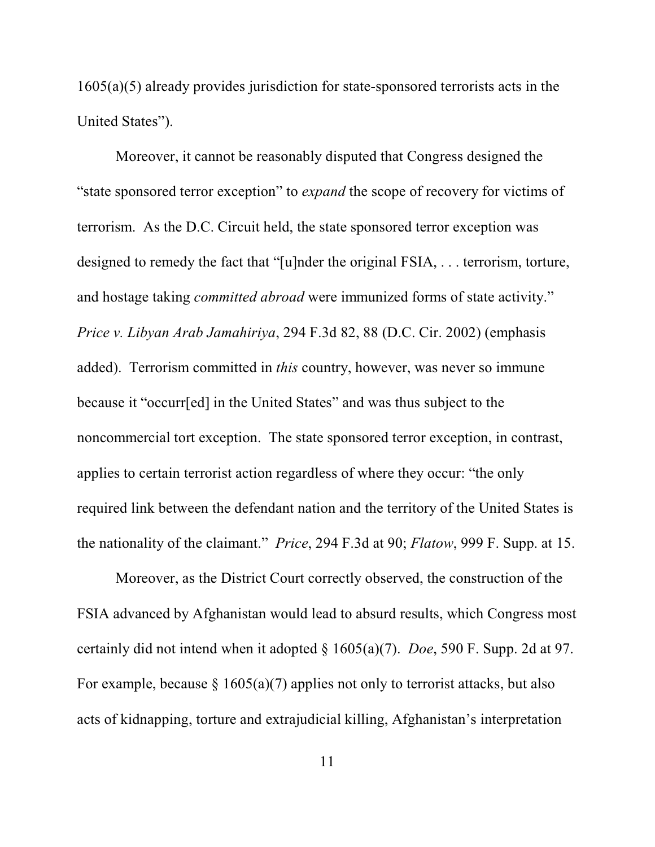1605(a)(5) already provides jurisdiction for state-sponsored terrorists acts in the United States").

Moreover, it cannot be reasonably disputed that Congress designed the "state sponsored terror exception" to *expand* the scope of recovery for victims of terrorism. As the D.C. Circuit held, the state sponsored terror exception was designed to remedy the fact that "[u]nder the original FSIA, . . . terrorism, torture, and hostage taking *committed abroad* were immunized forms of state activity." *Price v. Libyan Arab Jamahiriya*, 294 F.3d 82, 88 (D.C. Cir. 2002) (emphasis added). Terrorism committed in *this* country, however, was never so immune because it "occurr[ed] in the United States" and was thus subject to the noncommercial tort exception. The state sponsored terror exception, in contrast, applies to certain terrorist action regardless of where they occur: "the only required link between the defendant nation and the territory of the United States is the nationality of the claimant." *Price*, 294 F.3d at 90; *Flatow*, 999 F. Supp. at 15.

Moreover, as the District Court correctly observed, the construction of the FSIA advanced by Afghanistan would lead to absurd results, which Congress most certainly did not intend when it adopted § 1605(a)(7). *Doe*, 590 F. Supp. 2d at 97. For example, because  $\S 1605(a)(7)$  applies not only to terrorist attacks, but also acts of kidnapping, torture and extrajudicial killing, Afghanistan's interpretation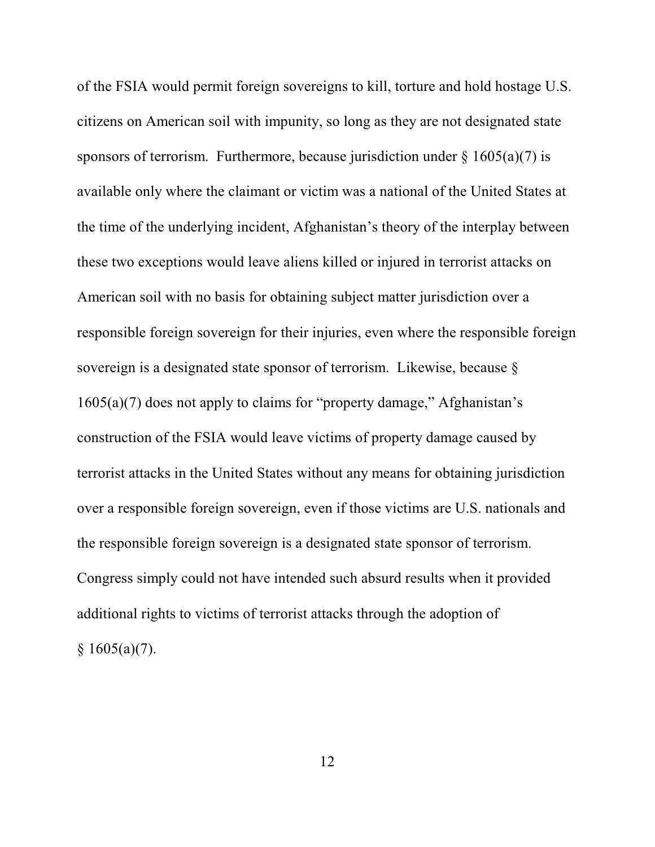of the FSIA would permit foreign sovereigns to kill, torture and hold hostage U.S. citizens on American soil with impunity, so long as they are not designated state sponsors of terrorism. Furthermore, because jurisdiction under  $\S$  1605(a)(7) is available only where the claimant or victim was a national of the United States at the time of the underlying incident, Afghanistan's theory of the interplay between these two exceptions would leave aliens killed or injured in terrorist attacks on American soil with no basis for obtaining subject matter jurisdiction over a responsible foreign sovereign for their injuries, even where the responsible foreign sovereign is a designated state sponsor of terrorism. Likewise, because § 1605(a)(7) does not apply to claims for "property damage," Afghanistan's construction of the FSIA would leave victims of property damage caused by terrorist attacks in the United States without any means for obtaining jurisdiction over a responsible foreign sovereign, even if those victims are U.S. nationals and the responsible foreign sovereign is a designated state sponsor of terrorism. Congress simply could not have intended such absurd results when it provided additional rights to victims of terrorist attacks through the adoption of  $§ 1605(a)(7).$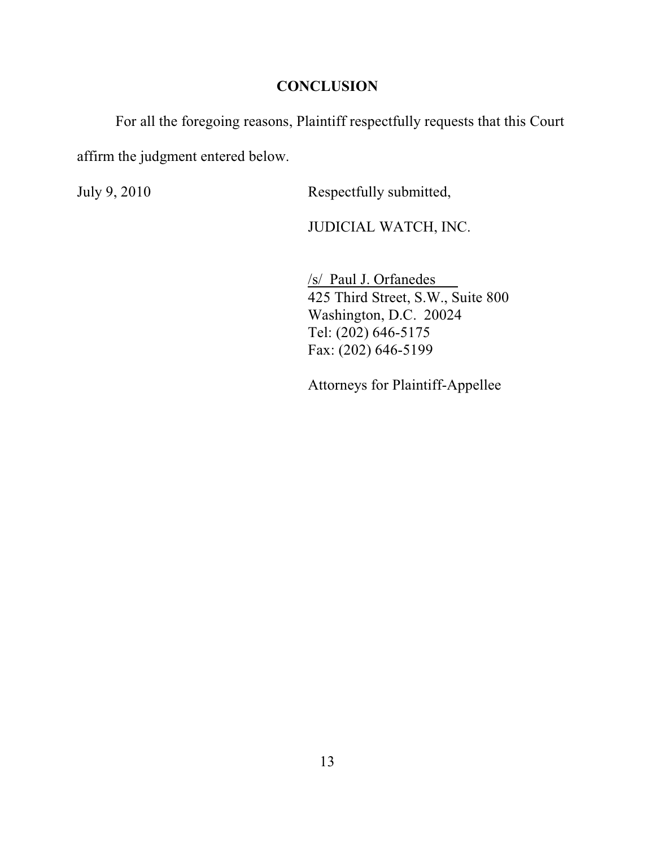## **CONCLUSION**

For all the foregoing reasons, Plaintiff respectfully requests that this Court

affirm the judgment entered below.

July 9, 2010 Respectfully submitted,

JUDICIAL WATCH, INC.

/s/ Paul J. Orfanedes 425 Third Street, S.W., Suite 800 Washington, D.C. 20024 Tel: (202) 646-5175 Fax: (202) 646-5199

Attorneys for Plaintiff-Appellee